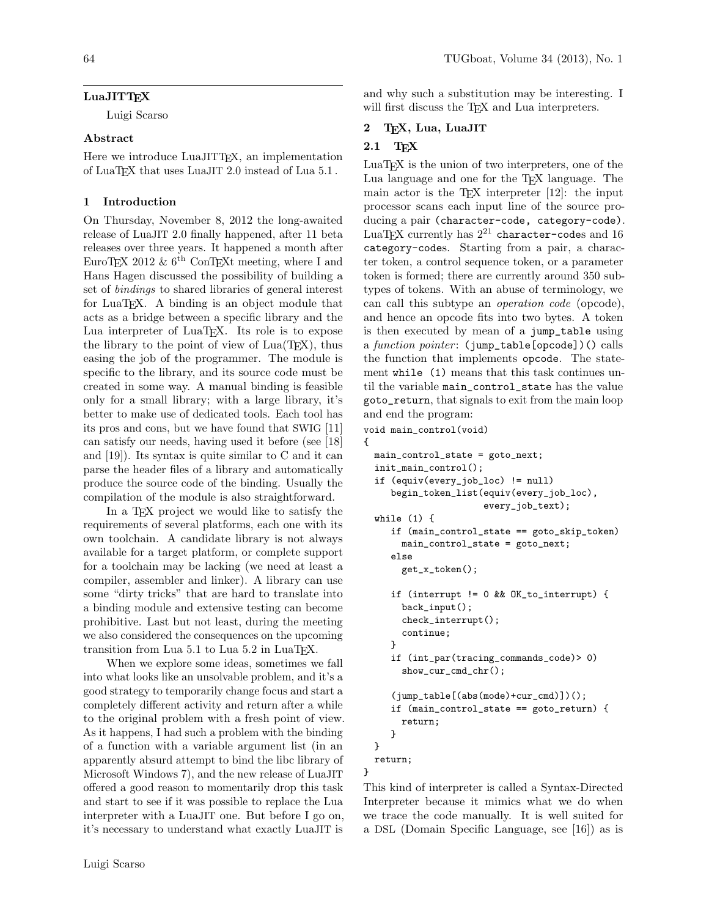Luigi Scarso

### Abstract

Here we introduce LuaJITTEX, an implementation of LuaTEX that uses LuaJIT 2.0 instead of Lua 5.1 .

### 1 Introduction

On Thursday, November 8, 2012 the long-awaited release of LuaJIT 2.0 finally happened, after 11 beta releases over three years. It happened a month after EuroT<sub>E</sub>X 2012 &  $6<sup>th</sup>$  ConT<sub>E</sub>X<sub>t</sub> meeting, where I and Hans Hagen discussed the possibility of building a set of bindings to shared libraries of general interest for LuaTEX. A binding is an object module that acts as a bridge between a specific library and the Lua interpreter of LuaTEX. Its role is to expose the library to the point of view of  $Lua(TFX)$ , thus easing the job of the programmer. The module is specific to the library, and its source code must be created in some way. A manual binding is feasible only for a small library; with a large library, it's better to make use of dedicated tools. Each tool has its pros and cons, but we have found that SWIG [\[11\]](#page-7-0) can satisfy our needs, having used it before (see [\[18\]](#page-7-1) and [\[19\]](#page-7-2)). Its syntax is quite similar to C and it can parse the header files of a library and automatically produce the source code of the binding. Usually the compilation of the module is also straightforward.

In a T<sub>F</sub>X project we would like to satisfy the requirements of several platforms, each one with its own toolchain. A candidate library is not always available for a target platform, or complete support for a toolchain may be lacking (we need at least a compiler, assembler and linker). A library can use some "dirty tricks" that are hard to translate into a binding module and extensive testing can become prohibitive. Last but not least, during the meeting we also considered the consequences on the upcoming transition from Lua 5.1 to Lua 5.2 in LuaT<sub>E</sub>X.

When we explore some ideas, sometimes we fall into what looks like an unsolvable problem, and it's a good strategy to temporarily change focus and start a completely different activity and return after a while to the original problem with a fresh point of view. As it happens, I had such a problem with the binding of a function with a variable argument list (in an apparently absurd attempt to bind the libc library of Microsoft Windows 7), and the new release of LuaJIT offered a good reason to momentarily drop this task and start to see if it was possible to replace the Lua interpreter with a LuaJIT one. But before I go on, it's necessary to understand what exactly LuaJIT is

and why such a substitution may be interesting. I will first discuss the T<sub>E</sub>X and Lua interpreters.

## 2 TEX, Lua, LuaJIT

# 2.1 TEX

LuaTEX is the union of two interpreters, one of the Lua language and one for the TEX language. The main actor is the T<sub>E</sub>X interpreter  $[12]$ : the input processor scans each input line of the source producing a pair (character-code, category-code). LuaT<sub>E</sub>X currently has  $2^{21}$  character-codes and 16 category-codes. Starting from a pair, a character token, a control sequence token, or a parameter token is formed; there are currently around 350 subtypes of tokens. With an abuse of terminology, we can call this subtype an operation code (opcode), and hence an opcode fits into two bytes. A token is then executed by mean of a jump\_table using a function pointer: (jump\_table[opcode])() calls the function that implements opcode. The statement while (1) means that this task continues until the variable main\_control\_state has the value goto\_return, that signals to exit from the main loop and end the program:

void main\_control(void)

{

}

```
main_control_state = goto_next;
init_main_control();
if (equiv(every_job_loc) != null)
   begin_token_list(equiv(every_job_loc),
                    every_job_text);
while (1) {
   if (main_control_state == goto_skip_token)
     main_control_state = goto_next;
   else
     get_x_token();
   if (interrupt != 0 && OK_to_interrupt) {
     back_input();
     check_interrupt();
     continue;
   }
   if (int_par(tracing_commands_code)> 0)
     show_cur_cmd_chr();
   (jump_table[(abs(mode)+cur_cmd)])();
   if (main_control_state == goto_return) {
     return;
   }
}
return;
```
This kind of interpreter is called a Syntax-Directed Interpreter because it mimics what we do when we trace the code manually. It is well suited for a DSL (Domain Specific Language, see [\[16\]](#page-7-4)) as is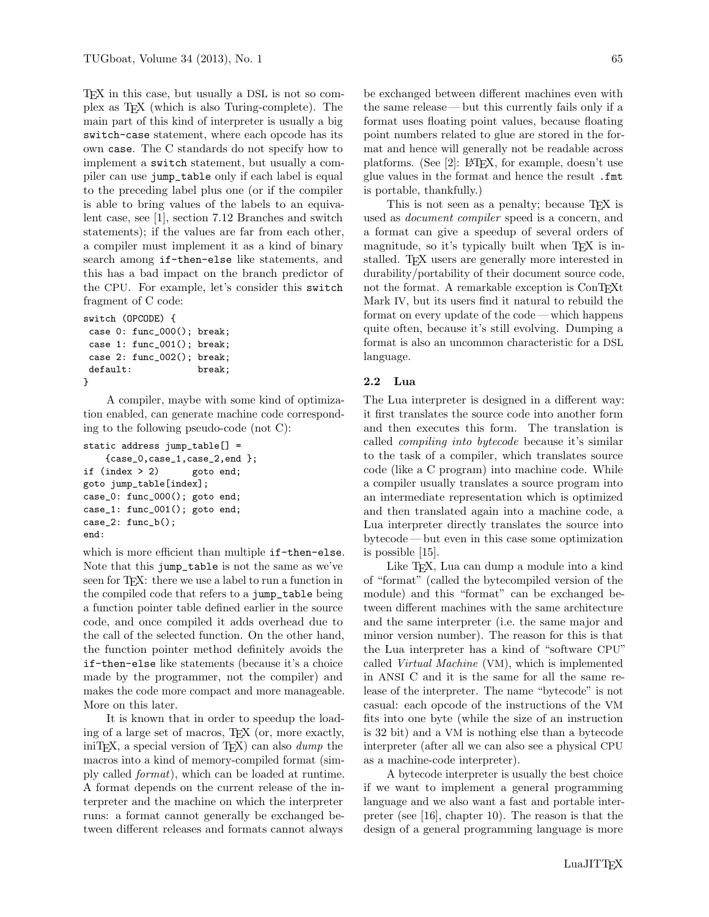TEX in this case, but usually a DSL is not so complex as TEX (which is also Turing-complete). The main part of this kind of interpreter is usually a big switch-case statement, where each opcode has its own case. The C standards do not specify how to implement a switch statement, but usually a compiler can use jump\_table only if each label is equal to the preceding label plus one (or if the compiler is able to bring values of the labels to an equivalent case, see [\[1\]](#page-7-5), section 7.12 Branches and switch statements); if the values are far from each other, a compiler must implement it as a kind of binary search among if-then-else like statements, and this has a bad impact on the branch predictor of the CPU. For example, let's consider this switch fragment of C code:

```
switch (OPCODE) {
case 0: func_000(); break;
case 1: func_001(); break;
case 2: func_002(); break;
default: break;
}
```
A compiler, maybe with some kind of optimization enabled, can generate machine code corresponding to the following pseudo-code (not C):

```
static address jump_table[] =
    {case_0,case_1,case_2,end };
if (index > 2) goto end;
goto jump_table[index];
case_0: func_000(); goto end;
case_1: func_001(); goto end;
case_2: func_b();
end:
```
which is more efficient than multiple if-then-else. Note that this jump\_table is not the same as we've seen for T<sub>F</sub>X: there we use a label to run a function in the compiled code that refers to a jump\_table being a function pointer table defined earlier in the source code, and once compiled it adds overhead due to the call of the selected function. On the other hand, the function pointer method definitely avoids the if-then-else like statements (because it's a choice made by the programmer, not the compiler) and makes the code more compact and more manageable. More on this later.

It is known that in order to speedup the loading of a large set of macros, TEX (or, more exactly, iniTEX, a special version of TEX) can also dump the macros into a kind of memory-compiled format (simply called format), which can be loaded at runtime. A format depends on the current release of the interpreter and the machine on which the interpreter runs: a format cannot generally be exchanged between different releases and formats cannot always

be exchanged between different machines even with the same release— but this currently fails only if a format uses floating point values, because floating point numbers related to glue are stored in the format and hence will generally not be readable across platforms. (See [\[2\]](#page-7-6): LATEX, for example, doesn't use

is portable, thankfully.) This is not seen as a penalty; because T<sub>E</sub>X is used as document compiler speed is a concern, and a format can give a speedup of several orders of magnitude, so it's typically built when TFX is installed. TEX users are generally more interested in durability/portability of their document source code, not the format. A remarkable exception is ConTEXt Mark IV, but its users find it natural to rebuild the format on every update of the code — which happens quite often, because it's still evolving. Dumping a format is also an uncommon characteristic for a DSL language.

glue values in the format and hence the result .fmt

### 2.2 Lua

The Lua interpreter is designed in a different way: it first translates the source code into another form and then executes this form. The translation is called compiling into bytecode because it's similar to the task of a compiler, which translates source code (like a C program) into machine code. While a compiler usually translates a source program into an intermediate representation which is optimized and then translated again into a machine code, a Lua interpreter directly translates the source into bytecode — but even in this case some optimization is possible [\[15\]](#page-7-7).

Like TEX, Lua can dump a module into a kind of "format" (called the bytecompiled version of the module) and this "format" can be exchanged between different machines with the same architecture and the same interpreter (i.e. the same major and minor version number). The reason for this is that the Lua interpreter has a kind of "software CPU" called Virtual Machine (VM), which is implemented in ANSI C and it is the same for all the same release of the interpreter. The name "bytecode" is not casual: each opcode of the instructions of the VM fits into one byte (while the size of an instruction is 32 bit) and a VM is nothing else than a bytecode interpreter (after all we can also see a physical CPU as a machine-code interpreter).

A bytecode interpreter is usually the best choice if we want to implement a general programming language and we also want a fast and portable interpreter (see [\[16\]](#page-7-4), chapter 10). The reason is that the design of a general programming language is more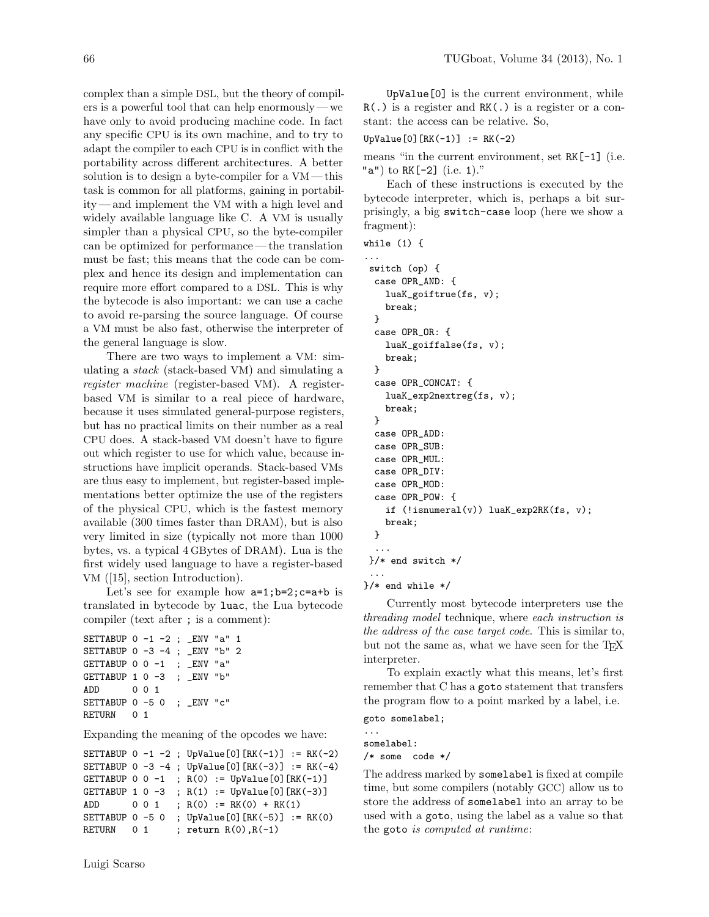complex than a simple DSL, but the theory of compilers is a powerful tool that can help enormously — we have only to avoid producing machine code. In fact any specific CPU is its own machine, and to try to adapt the compiler to each CPU is in conflict with the portability across different architectures. A better solution is to design a byte-compiler for a VM — this task is common for all platforms, gaining in portability— and implement the VM with a high level and widely available language like C. A VM is usually simpler than a physical CPU, so the byte-compiler can be optimized for performance — the translation must be fast; this means that the code can be complex and hence its design and implementation can require more effort compared to a DSL. This is why the bytecode is also important: we can use a cache to avoid re-parsing the source language. Of course a VM must be also fast, otherwise the interpreter of the general language is slow.

There are two ways to implement a VM: simulating a stack (stack-based VM) and simulating a register machine (register-based VM). A registerbased VM is similar to a real piece of hardware, because it uses simulated general-purpose registers, but has no practical limits on their number as a real CPU does. A stack-based VM doesn't have to figure out which register to use for which value, because instructions have implicit operands. Stack-based VMs are thus easy to implement, but register-based implementations better optimize the use of the registers of the physical CPU, which is the fastest memory available (300 times faster than DRAM), but is also very limited in size (typically not more than 1000 bytes, vs. a typical 4 GBytes of DRAM). Lua is the first widely used language to have a register-based VM ([\[15\]](#page-7-7), section Introduction).

Let's see for example how  $a=1; b=2; c=a+b$  is translated in bytecode by luac, the Lua bytecode compiler (text after ; is a comment):

```
SETTABUP 0 -1 -2 ; _ENV "a" 1
SETTABUP 0 -3 -4 ; _ENV "b" 2
GETTABUP 0 \t 0 \t -1 ; \_ENV "a"
GETTABUP 1 0 -3 ; _ENV "b"
ADD 0 0 1
SETTABUP 0 -5 0 ; _ENV "c"
RETURN 0 1
```
Expanding the meaning of the opcodes we have:

```
SETTABUP 0 -1 -2; UpValue[0][RK(-1)] := RK(-2)
SETTABUP 0 -3 -4; UpValue[0][RK(-3)] := RK(-4)
GETTABUP 0 \ 0 \ -1 \; R(0) := UpValue[0][RK(-1)]
GETTABUP 1 \ 0 \ -3 \; R(1) := UpValue[0][RK(-3)]
ADD 0 0 1 ; R(0) := RK(0) + RK(1)SETTABUP 0 -5 0; UpValue[0][RK(-5)] := RK(0)
RETURN 0 1 ; return R(0), R(-1)
```
UpValue[0] is the current environment, while R(.) is a register and RK(.) is a register or a constant: the access can be relative. So,

UpValue[0] $[RK(-1)] := RK(-2)$ 

means "in the current environment, set RK[-1] (i.e. "a") to RK[-2] (i.e. 1)."

Each of these instructions is executed by the bytecode interpreter, which is, perhaps a bit surprisingly, a big switch-case loop (here we show a fragment):

```
while (1) {
```

```
...
switch (op) {
 case OPR_AND: {
   luaK_goiftrue(fs, v);
   break;
 }
 case OPR_OR: {
   luaK_goiffalse(fs, v);
   break;
 }
  case OPR_CONCAT: {
   luaK_exp2nextreg(fs, v);
   break;
 }
  case OPR_ADD:
 case OPR_SUB:
 case OPR_MUL:
 case OPR_DIV:
  case OPR_MOD:
 case OPR_POW: {
   if (!isnumeral(v)) luaK_exp2RK(fs, v);
   break;
 }
  ...
}/* end switch */
 ...
```
}/\* end while \*/

Currently most bytecode interpreters use the threading model technique, where each instruction is the address of the case target code. This is similar to, but not the same as, what we have seen for the TFX interpreter.

To explain exactly what this means, let's first remember that C has a goto statement that transfers the program flow to a point marked by a label, i.e.

```
goto somelabel;
```
...

somelabel: /\* some code \*/

The address marked by somelabel is fixed at compile time, but some compilers (notably GCC) allow us to store the address of somelabel into an array to be used with a goto, using the label as a value so that the goto is computed at runtime: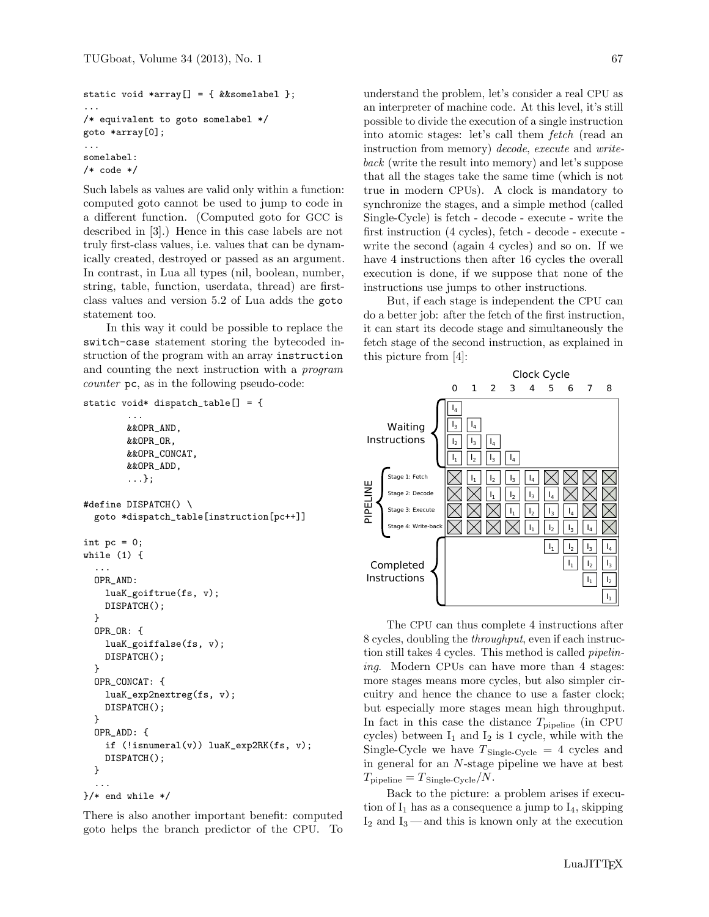```
static void *array[] = { &&somelabel };
...
/* equivalent to goto somelabel */
goto *array[0];
...
somelabel:
/* code */
```
Such labels as values are valid only within a function: computed goto cannot be used to jump to code in a different function. (Computed goto for GCC is described in [\[3\]](#page-7-8).) Hence in this case labels are not truly first-class values, i.e. values that can be dynamically created, destroyed or passed as an argument. In contrast, in Lua all types (nil, boolean, number, string, table, function, userdata, thread) are firstclass values and version 5.2 of Lua adds the goto statement too.

In this way it could be possible to replace the switch-case statement storing the bytecoded instruction of the program with an array instruction and counting the next instruction with a program counter pc, as in the following pseudo-code:

```
static void* dispatch_table[] = {
```

```
...
        &&OPR_AND,
        &&OPR_OR,
        &&OPR_CONCAT,
        &&OPR_ADD,
        ...};
#define DISPATCH() \
  goto *dispatch_table[instruction[pc++]]
int pc = 0;
while (1) {
  ...
  OPR_AND:
    luaK_goiftrue(fs, v);
    DISPATCH();
  }
  OPR_OR: {
    luaK_goiffalse(fs, v);
    DISPATCH();
  }
  OPR_CONCAT: {
    luaK_exp2nextreg(fs, v);
    DISPATCH();
  }
  OPR_ADD: {
    if (!isnumeral(v)) luaK_exp2RK(fs, v);
    DISPATCH();
  }
  ...
}/* end while */
```
There is also another important benefit: computed goto helps the branch predictor of the CPU. To understand the problem, let's consider a real CPU as an interpreter of machine code. At this level, it's still possible to divide the execution of a single instruction into atomic stages: let's call them *fetch* (read an instruction from memory) decode, execute and writeback (write the result into memory) and let's suppose that all the stages take the same time (which is not true in modern CPUs). A clock is mandatory to synchronize the stages, and a simple method (called Single-Cycle) is fetch - decode - execute - write the first instruction (4 cycles), fetch - decode - execute write the second (again 4 cycles) and so on. If we have 4 instructions then after 16 cycles the overall execution is done, if we suppose that none of the instructions use jumps to other instructions.

But, if each stage is independent the CPU can do a better job: after the fetch of the first instruction, it can start its decode stage and simultaneously the fetch stage of the second instruction, as explained in this picture from [\[4\]](#page-7-9):



The CPU can thus complete 4 instructions after 8 cycles, doubling the throughput, even if each instruction still takes 4 cycles. This method is called pipelining. Modern CPUs can have more than 4 stages: more stages means more cycles, but also simpler circuitry and hence the chance to use a faster clock; but especially more stages mean high throughput. In fact in this case the distance  $T_{\text{pipeline}}$  (in CPU cycles) between  $I_1$  and  $I_2$  is 1 cycle, while with the Single-Cycle we have  $T_{\text{Single-Cycle}} = 4$  cycles and in general for an N-stage pipeline we have at best  $T_{\text{pipeline}} = T_{\text{Single-Cycle}}/N.$ 

Back to the picture: a problem arises if execution of  $I_1$  has as a consequence a jump to  $I_4$ , skipping  $I_2$  and  $I_3$  — and this is known only at the execution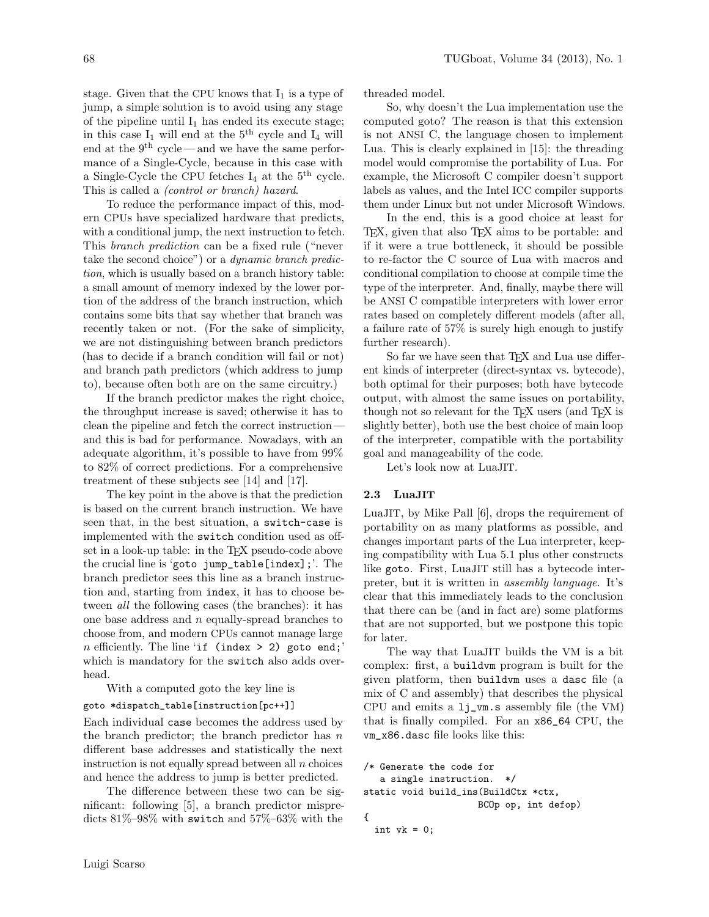stage. Given that the CPU knows that  $I_1$  is a type of jump, a simple solution is to avoid using any stage of the pipeline until  $I_1$  has ended its execute stage; in this case  $I_1$  will end at the  $5<sup>th</sup>$  cycle and  $I_4$  will end at the  $9<sup>th</sup>$  cycle — and we have the same performance of a Single-Cycle, because in this case with a Single-Cycle the CPU fetches  $I_4$  at the  $5<sup>th</sup>$  cycle. This is called a (control or branch) hazard.

To reduce the performance impact of this, modern CPUs have specialized hardware that predicts, with a conditional jump, the next instruction to fetch. This branch prediction can be a fixed rule ("never take the second choice") or a dynamic branch prediction, which is usually based on a branch history table: a small amount of memory indexed by the lower portion of the address of the branch instruction, which contains some bits that say whether that branch was recently taken or not. (For the sake of simplicity, we are not distinguishing between branch predictors (has to decide if a branch condition will fail or not) and branch path predictors (which address to jump to), because often both are on the same circuitry.)

If the branch predictor makes the right choice, the throughput increase is saved; otherwise it has to clean the pipeline and fetch the correct instruction and this is bad for performance. Nowadays, with an adequate algorithm, it's possible to have from 99% to 82% of correct predictions. For a comprehensive treatment of these subjects see [\[14\]](#page-7-10) and [\[17\]](#page-7-11).

The key point in the above is that the prediction is based on the current branch instruction. We have seen that, in the best situation, a switch-case is implemented with the switch condition used as offset in a look-up table: in the TEX pseudo-code above the crucial line is 'goto jump\_table[index];'. The branch predictor sees this line as a branch instruction and, starting from index, it has to choose between all the following cases (the branches): it has one base address and  $n$  equally-spread branches to choose from, and modern CPUs cannot manage large *n* efficiently. The line 'if (index  $> 2$ ) goto end;' which is mandatory for the switch also adds overhead.

With a computed goto the key line is

#### goto \*dispatch\_table[instruction[pc++]]

Each individual case becomes the address used by the branch predictor; the branch predictor has  $n$ different base addresses and statistically the next instruction is not equally spread between all  $n$  choices and hence the address to jump is better predicted.

The difference between these two can be significant: following [\[5\]](#page-7-12), a branch predictor mispredicts 81%–98% with switch and 57%–63% with the

threaded model.

So, why doesn't the Lua implementation use the computed goto? The reason is that this extension is not ANSI C, the language chosen to implement Lua. This is clearly explained in [\[15\]](#page-7-7): the threading model would compromise the portability of Lua. For example, the Microsoft C compiler doesn't support labels as values, and the Intel ICC compiler supports them under Linux but not under Microsoft Windows.

In the end, this is a good choice at least for T<sub>EX</sub>, given that also T<sub>EX</sub> aims to be portable: and if it were a true bottleneck, it should be possible to re-factor the C source of Lua with macros and conditional compilation to choose at compile time the type of the interpreter. And, finally, maybe there will be ANSI C compatible interpreters with lower error rates based on completely different models (after all, a failure rate of 57% is surely high enough to justify further research).

So far we have seen that T<sub>E</sub>X and Lua use different kinds of interpreter (direct-syntax vs. bytecode), both optimal for their purposes; both have bytecode output, with almost the same issues on portability, though not so relevant for the TFX users (and TFX is slightly better), both use the best choice of main loop of the interpreter, compatible with the portability goal and manageability of the code.

Let's look now at LuaJIT.

## 2.3 LuaJIT

LuaJIT, by Mike Pall [\[6\]](#page-7-13), drops the requirement of portability on as many platforms as possible, and changes important parts of the Lua interpreter, keeping compatibility with Lua 5.1 plus other constructs like goto. First, LuaJIT still has a bytecode interpreter, but it is written in assembly language. It's clear that this immediately leads to the conclusion that there can be (and in fact are) some platforms that are not supported, but we postpone this topic for later.

The way that LuaJIT builds the VM is a bit complex: first, a buildvm program is built for the given platform, then buildvm uses a dasc file (a mix of C and assembly) that describes the physical CPU and emits a lj\_vm.s assembly file (the VM) that is finally compiled. For an x86\_64 CPU, the vm\_x86.dasc file looks like this:

```
/* Generate the code for
  a single instruction. */
static void build_ins(BuildCtx *ctx,
                     BCOp op, int defop)
{
 int vk = 0;
```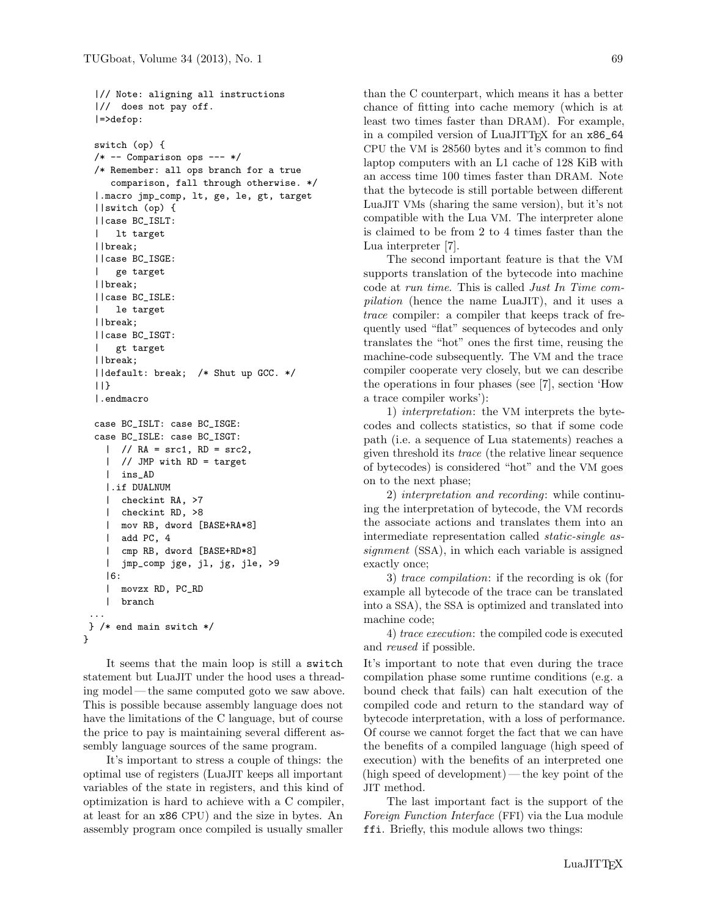```
|// Note: aligning all instructions
 |// does not pay off.
 |=>defop:
 switch (op) {
 /* -- Comparison ops --- */
 /* Remember: all ops branch for a true
    comparison, fall through otherwise. */
 |.macro jmp_comp, lt, ge, le, gt, target
 ||switch (op) {
 ||case BC_ISLT:
     | lt target
 ||break;
 ||case BC_ISGE:
     | ge target
 ||break;
 ||case BC_ISLE:
 | le target
 ||break;
 ||case BC_ISGT:
 | gt target
 ||break;
 ||default: break; /* Shut up GCC. */
 ||}
 |.endmacro
 case BC_ISLT: case BC_ISGE:
 case BC_ISLE: case BC_ISGT:
   | // RA = src1, RD = src2,| // JMP with RD = target
   | ins_AD
   |.if DUALNUM
   | checkint RA, >7
   | checkint RD, >8
   | mov RB, dword [BASE+RA*8]
   | add PC, 4
   | cmp RB, dword [BASE+RD*8]
   | jmp_comp jge, jl, jg, jle, >9
   |6:
   | movzx RD, PC_RD
   | branch
...
} /* end main switch */
```
It seems that the main loop is still a switch statement but LuaJIT under the hood uses a threading model — the same computed goto we saw above. This is possible because assembly language does not have the limitations of the C language, but of course the price to pay is maintaining several different assembly language sources of the same program.

}

It's important to stress a couple of things: the optimal use of registers (LuaJIT keeps all important variables of the state in registers, and this kind of optimization is hard to achieve with a C compiler, at least for an x86 CPU) and the size in bytes. An assembly program once compiled is usually smaller

than the C counterpart, which means it has a better chance of fitting into cache memory (which is at least two times faster than DRAM). For example, in a compiled version of LuaJITTFX for an  $x86\_64$ CPU the VM is 28560 bytes and it's common to find laptop computers with an L1 cache of 128 KiB with an access time 100 times faster than DRAM. Note that the bytecode is still portable between different LuaJIT VMs (sharing the same version), but it's not compatible with the Lua VM. The interpreter alone is claimed to be from 2 to 4 times faster than the Lua interpreter [\[7\]](#page-7-14).

The second important feature is that the VM supports translation of the bytecode into machine code at run time. This is called Just In Time compilation (hence the name LuaJIT), and it uses a trace compiler: a compiler that keeps track of frequently used "flat" sequences of bytecodes and only translates the "hot" ones the first time, reusing the machine-code subsequently. The VM and the trace compiler cooperate very closely, but we can describe the operations in four phases (see [\[7\]](#page-7-14), section 'How a trace compiler works'):

1) interpretation: the VM interprets the bytecodes and collects statistics, so that if some code path (i.e. a sequence of Lua statements) reaches a given threshold its trace (the relative linear sequence of bytecodes) is considered "hot" and the VM goes on to the next phase;

2) interpretation and recording: while continuing the interpretation of bytecode, the VM records the associate actions and translates them into an intermediate representation called static-single assignment (SSA), in which each variable is assigned exactly once;

3) trace compilation: if the recording is ok (for example all bytecode of the trace can be translated into a SSA), the SSA is optimized and translated into machine code;

4) trace execution: the compiled code is executed and reused if possible.

It's important to note that even during the trace compilation phase some runtime conditions (e.g. a bound check that fails) can halt execution of the compiled code and return to the standard way of bytecode interpretation, with a loss of performance. Of course we cannot forget the fact that we can have the benefits of a compiled language (high speed of execution) with the benefits of an interpreted one (high speed of development)— the key point of the JIT method.

The last important fact is the support of the Foreign Function Interface (FFI) via the Lua module ffi. Briefly, this module allows two things: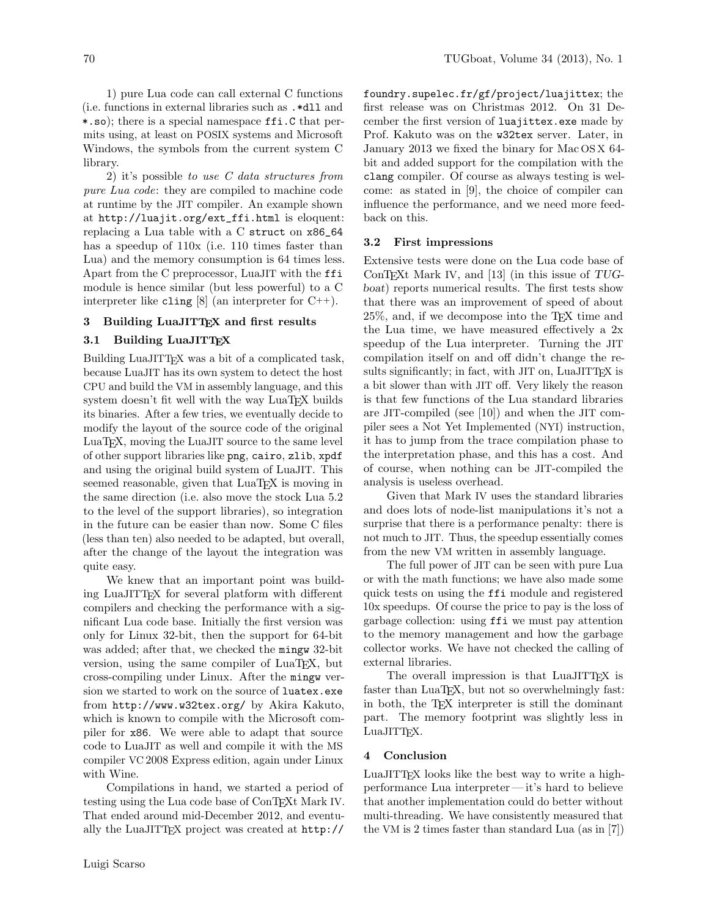1) pure Lua code can call external C functions (i.e. functions in external libraries such as .\*dll and \*.so); there is a special namespace ffi.C that permits using, at least on POSIX systems and Microsoft Windows, the symbols from the current system C library.

2) it's possible to use C data structures from pure Lua code: they are compiled to machine code at runtime by the JIT compiler. An example shown at [http://luajit.org/ext\\_ffi.html](http://luajit.org/ext_ffi.html) is eloquent: replacing a Lua table with a C struct on x86\_64 has a speedup of 110x (i.e. 110 times faster than Lua) and the memory consumption is 64 times less. Apart from the C preprocessor, LuaJIT with the ffi module is hence similar (but less powerful) to a C interpreter like cling  $[8]$  (an interpreter for C++).

# 3 Building LuaJITTEX and first results

## 3.1 Building LuaJITTEX

Building LuaJITTEX was a bit of a complicated task, because LuaJIT has its own system to detect the host CPU and build the VM in assembly language, and this system doesn't fit well with the way LuaTFX builds its binaries. After a few tries, we eventually decide to modify the layout of the source code of the original LuaTEX, moving the LuaJIT source to the same level of other support libraries like png, cairo, zlib, xpdf and using the original build system of LuaJIT. This seemed reasonable, given that LuaT<sub>E</sub>X is moving in the same direction (i.e. also move the stock Lua 5.2 to the level of the support libraries), so integration in the future can be easier than now. Some C files (less than ten) also needed to be adapted, but overall, after the change of the layout the integration was quite easy.

We knew that an important point was building LuaJITTEX for several platform with different compilers and checking the performance with a significant Lua code base. Initially the first version was only for Linux 32-bit, then the support for 64-bit was added; after that, we checked the mingw 32-bit version, using the same compiler of LuaT<sub>E</sub>X, but cross-compiling under Linux. After the mingw version we started to work on the source of luatex.exe from <http://www.w32tex.org/> by Akira Kakuto, which is known to compile with the Microsoft compiler for x86. We were able to adapt that source code to LuaJIT as well and compile it with the MS compiler VC 2008 Express edition, again under Linux with Wine.

Compilations in hand, we started a period of testing using the Lua code base of ConTEXt Mark IV. That ended around mid-December 2012, and eventually the LuaJITTEX project was created at [http://](http://foundry.supelec.fr/gf/project/luajittex) [foundry.supelec.fr/gf/project/luajittex](http://foundry.supelec.fr/gf/project/luajittex); the first release was on Christmas 2012. On 31 December the first version of luajittex.exe made by Prof. Kakuto was on the w32tex server. Later, in January 2013 we fixed the binary for Mac OS X 64 bit and added support for the compilation with the clang compiler. Of course as always testing is welcome: as stated in [\[9\]](#page-7-16), the choice of compiler can influence the performance, and we need more feedback on this.

### 3.2 First impressions

Extensive tests were done on the Lua code base of ConTEXt Mark IV, and [\[13\]](#page-7-17) (in this issue of  $TUG$ boat) reports numerical results. The first tests show that there was an improvement of speed of about 25%, and, if we decompose into the TEX time and the Lua time, we have measured effectively a 2x speedup of the Lua interpreter. Turning the JIT compilation itself on and off didn't change the results significantly; in fact, with JIT on, LuaJITT<sub>EX</sub> is a bit slower than with JIT off. Very likely the reason is that few functions of the Lua standard libraries are JIT-compiled (see [\[10\]](#page-7-18)) and when the JIT compiler sees a Not Yet Implemented (NYI) instruction, it has to jump from the trace compilation phase to the interpretation phase, and this has a cost. And of course, when nothing can be JIT-compiled the analysis is useless overhead.

Given that Mark IV uses the standard libraries and does lots of node-list manipulations it's not a surprise that there is a performance penalty: there is not much to JIT. Thus, the speedup essentially comes from the new VM written in assembly language.

The full power of JIT can be seen with pure Lua or with the math functions; we have also made some quick tests on using the ffi module and registered 10x speedups. Of course the price to pay is the loss of garbage collection: using ffi we must pay attention to the memory management and how the garbage collector works. We have not checked the calling of external libraries.

The overall impression is that LuaJITTEX is faster than LuaT<sub>E</sub>X, but not so overwhelmingly fast: in both, the TEX interpreter is still the dominant part. The memory footprint was slightly less in LuaJITTEX.

#### 4 Conclusion

LuaJITTEX looks like the best way to write a highperformance Lua interpreter— it's hard to believe that another implementation could do better without multi-threading. We have consistently measured that the VM is 2 times faster than standard Lua (as in [\[7\]](#page-7-14))